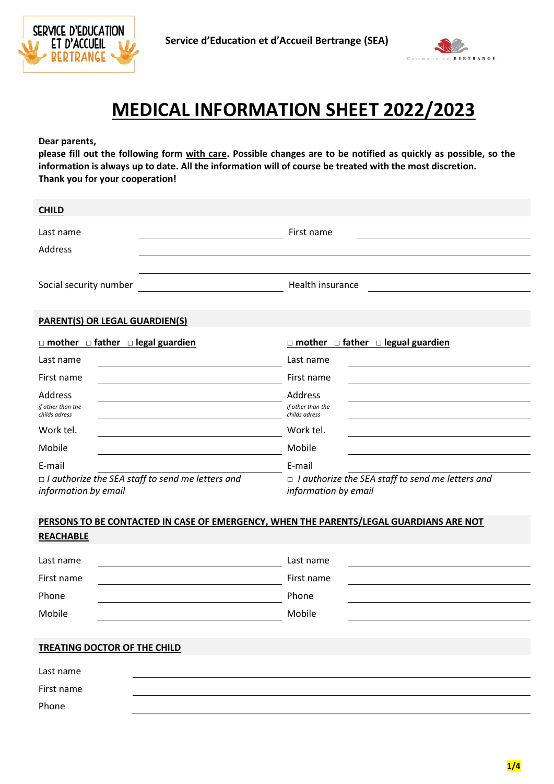



## **MEDICAL INFORMATION SHEET 2022/2023**

**Dear parents,**

**please fill out the following form with care. Possible changes are to be notified as quickly as possible, so the information is always up to date. All the information will of course be treated with the most discretion. Thank you for your cooperation!**

| <b>CHILD</b>                                                                           |                                                                                 |
|----------------------------------------------------------------------------------------|---------------------------------------------------------------------------------|
| Last name                                                                              | First name                                                                      |
| Address                                                                                |                                                                                 |
|                                                                                        |                                                                                 |
| Social security number                                                                 | Health insurance                                                                |
|                                                                                        |                                                                                 |
| <b>PARENT(S) OR LEGAL GUARDIEN(S)</b>                                                  |                                                                                 |
| $\Box$ mother $\Box$ father $\Box$ legal guardien                                      | $\Box$ mother $\Box$ father $\Box$ legual guardien                              |
| Last name                                                                              | Last name                                                                       |
| First name                                                                             | First name                                                                      |
| Address                                                                                | Address                                                                         |
| if other than the<br>childs adress                                                     | if other than the<br>childs adress                                              |
| Work tel.                                                                              | Work tel.                                                                       |
| Mobile                                                                                 | Mobile                                                                          |
| E-mail                                                                                 | E-mail                                                                          |
| $\Box$ I authorize the SEA staff to send me letters and<br>information by email        | $\Box$ I authorize the SEA staff to send me letters and<br>information by email |
|                                                                                        |                                                                                 |
| PERSONS TO BE CONTACTED IN CASE OF EMERGENCY, WHEN THE PARENTS/LEGAL GUARDIANS ARE NOT |                                                                                 |
| <b>REACHABLE</b>                                                                       |                                                                                 |
| Last name                                                                              | Last name                                                                       |
| First name                                                                             | First name                                                                      |
| Phone                                                                                  | Phone                                                                           |
| Mobile                                                                                 | Mobile                                                                          |
|                                                                                        |                                                                                 |
| TREATING DOCTOR OF THE CHILD                                                           |                                                                                 |
| Last name                                                                              |                                                                                 |
| First name                                                                             |                                                                                 |
| Phone                                                                                  |                                                                                 |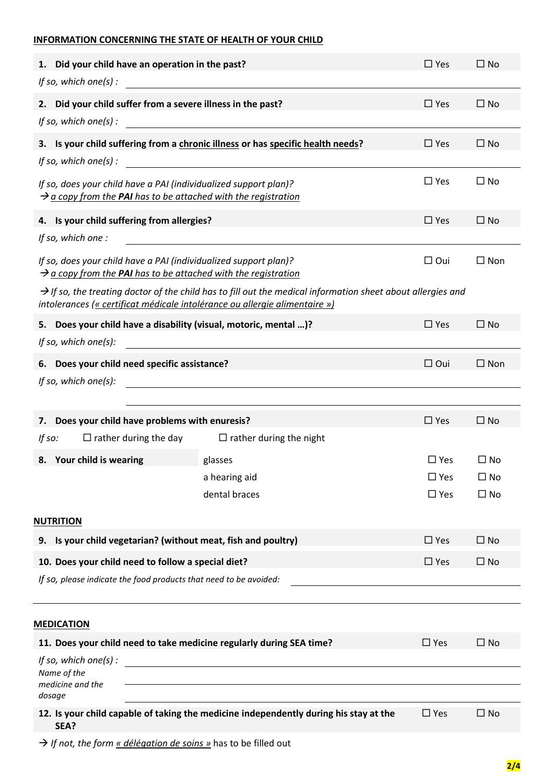## **INFORMATION CONCERNING THE STATE OF HEALTH OF YOUR CHILD**

| 1. Did your child have an operation in the past?                                                                                               |                                                                                                                         | $\Box$ Yes    | $\Box$ No     |
|------------------------------------------------------------------------------------------------------------------------------------------------|-------------------------------------------------------------------------------------------------------------------------|---------------|---------------|
| If so, which one(s):                                                                                                                           |                                                                                                                         |               |               |
| 2. Did your child suffer from a severe illness in the past?                                                                                    |                                                                                                                         | $\Box$ Yes    | $\square$ No  |
|                                                                                                                                                | 3. Is your child suffering from a chronic illness or has specific health needs?                                         | $\Box$ Yes    | $\square$ No  |
|                                                                                                                                                | If so, which one(s) $\vdots$                                                                                            |               |               |
| If so, does your child have a PAI (individualized support plan)?<br>$\rightarrow$ a copy from the PAI has to be attached with the registration |                                                                                                                         | $\Box$ Yes    | $\square$ No  |
| 4. Is your child suffering from allergies?                                                                                                     |                                                                                                                         | $\Box$ Yes    | $\square$ No  |
| If so, which one :                                                                                                                             | <u> 1980 - Jan Stein Stein Stein Stein Stein Stein Stein Stein Stein Stein Stein Stein Stein Stein Stein Stein S</u>    |               |               |
| If so, does your child have a PAI (individualized support plan)?<br>$\rightarrow$ a copy from the PAI has to be attached with the registration |                                                                                                                         | $\Box$ Oui    | $\Box$ Non    |
| intolerances (« certificat médicale intolérance ou allergie alimentaire »)                                                                     | $\rightarrow$ If so, the treating doctor of the child has to fill out the medical information sheet about allergies and |               |               |
| 5. Does your child have a disability (visual, motoric, mental )?                                                                               |                                                                                                                         | $\Box$ Yes    | $\square$ No  |
| If so, which one(s):                                                                                                                           | <u> 1980 - Jan Stein Stein Stein Stein Stein Stein Stein Stein Stein Stein Stein Stein Stein Stein Stein Stein S</u>    |               |               |
| 6. Does your child need specific assistance?                                                                                                   |                                                                                                                         | $\Box$ Oui    | $\square$ Non |
| If so, which one(s):                                                                                                                           |                                                                                                                         |               |               |
|                                                                                                                                                |                                                                                                                         |               |               |
| Does your child have problems with enuresis?<br>7.                                                                                             |                                                                                                                         | $\square$ Yes | $\square$ No  |
| If $so:$                                                                                                                                       | $\Box$ rather during the day $\Box$ rather during the night                                                             |               |               |
| 8. Your child is wearing                                                                                                                       | glasses                                                                                                                 | $\Box$ Yes    | $\Box$ No     |
|                                                                                                                                                | a hearing aid                                                                                                           | $\Box$ Yes    | $\Box$ No     |
|                                                                                                                                                | dental braces                                                                                                           | $\Box$ Yes    | $\Box$ No     |
| NUTRITION                                                                                                                                      |                                                                                                                         |               |               |
| Is your child vegetarian? (without meat, fish and poultry)<br>9.                                                                               |                                                                                                                         | $\Box$ Yes    | $\Box$ No     |
| 10. Does your child need to follow a special diet?                                                                                             |                                                                                                                         | $\Box$ Yes    | $\square$ No  |
| If so, please indicate the food products that need to be avoided:                                                                              |                                                                                                                         |               |               |
|                                                                                                                                                |                                                                                                                         |               |               |
| <b>MEDICATION</b>                                                                                                                              |                                                                                                                         |               |               |
| 11. Does your child need to take medicine regularly during SEA time?                                                                           |                                                                                                                         | $\Box$ Yes    | $\Box$ No     |
| If so, which one(s) :<br>Name of the<br>medicine and the                                                                                       |                                                                                                                         |               |               |
| dosage                                                                                                                                         | 12. Is your child capable of taking the medicine independently during his stay at the                                   | $\Box$ Yes    | $\square$ No  |
| SEA?                                                                                                                                           |                                                                                                                         |               |               |
|                                                                                                                                                |                                                                                                                         |               |               |

→ *If not, the form* « *délégation de soins* » has to be filled out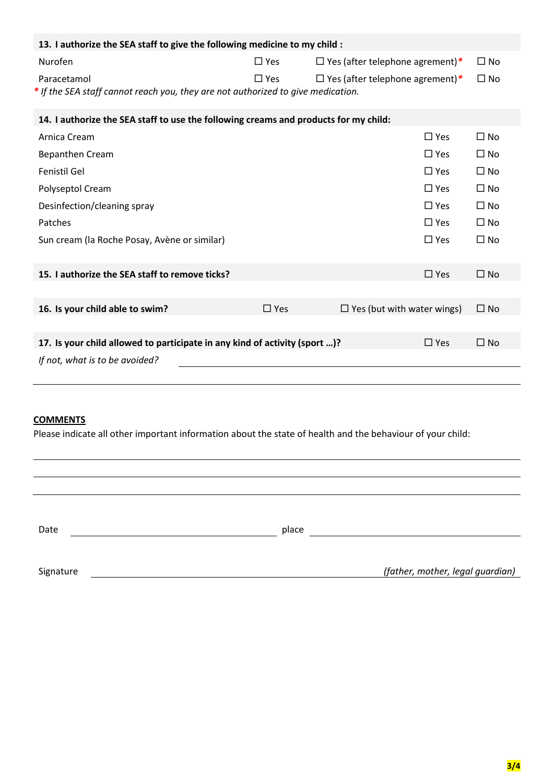| 13. I authorize the SEA staff to give the following medicine to my child :                      |               |                                        |              |  |
|-------------------------------------------------------------------------------------------------|---------------|----------------------------------------|--------------|--|
| Nurofen                                                                                         | $\square$ Yes | $\Box$ Yes (after telephone agrement)* | $\square$ No |  |
| Paracetamol<br>* If the SEA staff cannot reach you, they are not authorized to give medication. | $\Box$ Yes    | $\Box$ Yes (after telephone agrement)* | $\Box$ No    |  |
| 14. I authorize the SEA staff to use the following creams and products for my child:            |               |                                        |              |  |
| Arnica Cream                                                                                    |               | $\Box$ Yes                             | $\Box$ No    |  |
| <b>Bepanthen Cream</b>                                                                          |               | $\Box$ Yes                             | $\Box$ No    |  |
| Fenistil Gel                                                                                    |               | $\Box$ Yes                             | $\Box$ No    |  |
| Polyseptol Cream                                                                                |               | $\Box$ Yes                             | $\Box$ No    |  |
| Desinfection/cleaning spray                                                                     |               | $\Box$ Yes                             | $\Box$ No    |  |
| Patches                                                                                         |               | $\Box$ Yes                             | $\Box$ No    |  |
| Sun cream (la Roche Posay, Avène or similar)                                                    |               | $\Box$ Yes                             | $\Box$ No    |  |
| 15. I authorize the SEA staff to remove ticks?                                                  |               | $\Box$ Yes                             | $\square$ No |  |
|                                                                                                 |               |                                        |              |  |
| 16. Is your child able to swim?                                                                 | $\Box$ Yes    | $\Box$ Yes (but with water wings)      | $\Box$ No    |  |
| 17. Is your child allowed to participate in any kind of activity (sport )?                      |               | $\Box$ Yes                             | $\square$ No |  |
| If not, what is to be avoided?                                                                  |               |                                        |              |  |
|                                                                                                 |               |                                        |              |  |

## **COMMENTS**

Please indicate all other important information about the state of health and the behaviour of your child:

| Date      | place |                                  |
|-----------|-------|----------------------------------|
|           |       |                                  |
| Signature |       | (father, mother, legal guardian) |